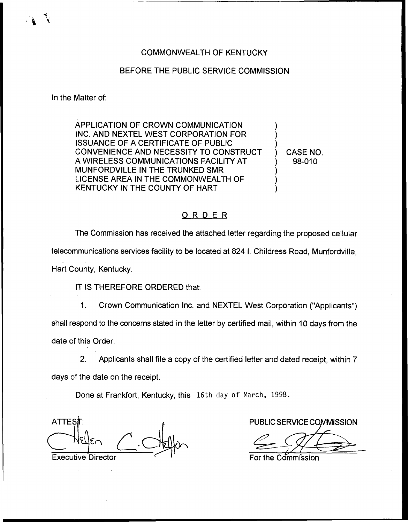## COMMONWEALTH OF KENTUCKY

## BEFORE THE PUBLIC SERVICE COMMISSION

In the Matter of:

APPLICATION OF CROWN COMMUNICATION INC. AND NEXTEL WEST CORPORATION FOR ISSUANCE OF A CERTIFICATE OF PUBLIC CONVENIENCE AND NECESSITY TO CONSTRUCT A WIRELESS COMMUNICATIONS FACILITY AT MUNFORDVILLE IN THE TRUNKED SMR LICENSE AREA IN THE COMMONWEALTH OF KENTUCKY IN THE COUNTY OF HART

) CASE NO. ) 98-010

) ) )

) ) )

## ORDER

The Commission has received the attached letter regarding the proposed cellular telecommunications services facility to be located at 824 I. Childress Road, Munfordville, Hart County, Kentucky.

IT IS THEREFORE ORDERED that:

1. Crown Communication Inc. and NEXTEL West Corporation ("Applicants") shall respond to the concerns stated in the letter by certified mail, within 10 days from the date of this Order.

2. Applicants shall file a copy of the certified letter and dated receipt, within 7 days of the date on the receipt.

Done at Frankfort, Kentucky, this 16th day of Narch, 1998.

ATTES T: A ALL AND A REPORT OF PUBLIC SERVICE COMMISSION Executive Director **For the Commission**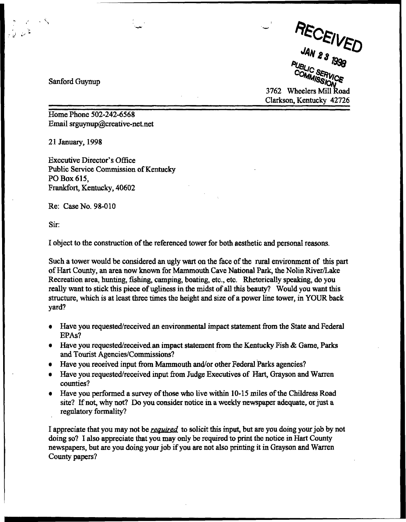JAN 23 eι COMMISSION CL

3762 Wheelers Mill Road Clarkson, Kentucky 42726

Sanford Guynup

Home Phone 502-242-6568 Email srguynup@creative-net.net

21 January, 1998

Executive Director's Office Public Service Commission of Kentucky PO Box 615, Frankfort, Kentucky, 40602

Re: Case No. 98-010

Sir:

I object to the construction of the referenced tower for both aesthetic and personal reasons.

Such a tower would be considered an ugly wart on the face of the rural environment of this part ofHart County, an ares now known for Mammouth Cave National Park, the Nolin River/Lake Recreation area, hunting, fishing, camping, boating, etc., etc. Rhetorically speaking, do you really want to stick this piece of ugliness in the midst of all this beauty? Would you want this structure, which is at least three times the height and size of a power line tower, in YOUR back yard?

- Have you requested/received an environmental impact statement from the State and Federal EPAs?
- Have you requested/received an impact statement from the Kentucky Fish  $\&$  Game, Parks and Tourist Agencies/Commissions)
- Have you received input from Mammouth and/or other Federal Parks agencies?
- Have you requested/received input from Judge Executives of Hart, Grayson and Warren counties?
- $\bullet$  Have you performed a survey of those who live within 10-15 miles of the Childress Road site? If not, why not? Do you consider notice in a weekly newspaper adequate, or just a regulatory formality?

I appreciate that you may not be *required* to solicit this input, but are you doing your job by not doing so? I also appreciate that you may only be required to print the notice in Hart County newspapers, but are you doing your job if you are not also printing it in Grayson and Warren County papers?